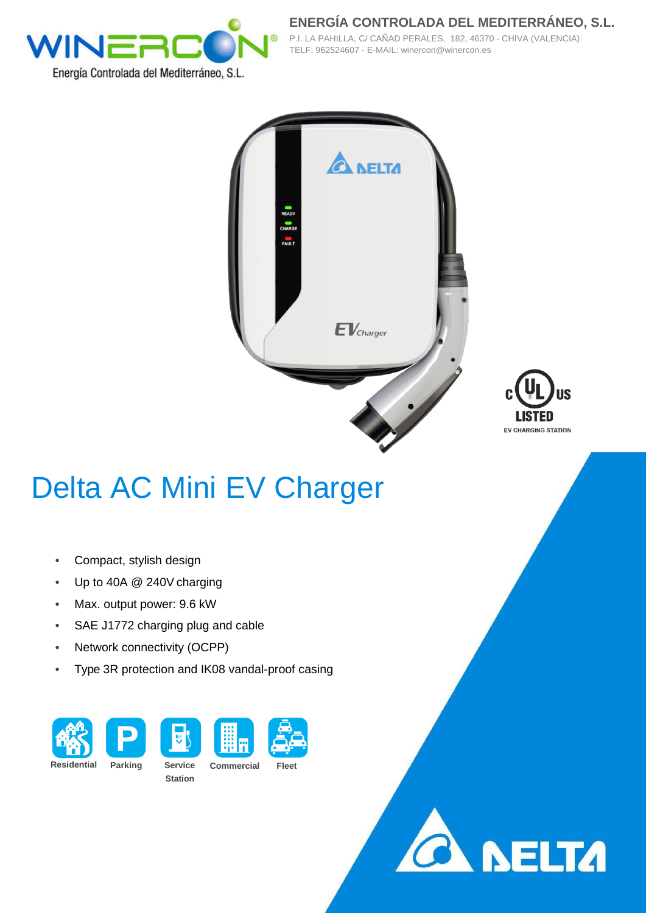

**ENERGÍA CONTROLADA DEL MEDITERRÁNEO, S.L.** P.I. LA PAHILLA, C/ CAÑAD PERALES, 182, 46370 - CHIVA (VALENCIA) TELF: 962524607 - E-MAIL: winercon@winercon.es





## Delta AC Mini EV Charger

- Compact, stylish design
- Up to 40A @ 240V charging
- Max. output power: 9.6 kW
- SAE J1772 charging plug and cable
- Network connectivity (OCPP)
- Type 3R protection and IK08 vandal-proof casing









**Residential Parking Service**

**Station**

**Commercial Fleet**